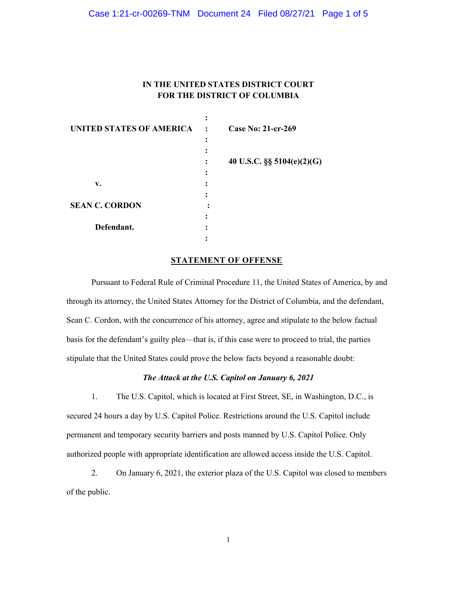### Case 1:21-cr-00269-TNM Document 24 Filed 08/27/21 Page 1 of 5

# **IN THE UNITED STATES DISTRICT COURT FOR THE DISTRICT OF COLUMBIA**

| UNITED STATES OF AMERICA | $\ddot{\cdot}$ | <b>Case No: 21-cr-269</b>      |
|--------------------------|----------------|--------------------------------|
|                          | ٠              |                                |
|                          |                |                                |
|                          |                | 40 U.S.C. $\S\S 5104(e)(2)(G)$ |
|                          |                |                                |
| v.                       |                |                                |
|                          |                |                                |
| <b>SEAN C. CORDON</b>    |                |                                |
|                          |                |                                |
| Defendant.               |                |                                |
|                          |                |                                |

#### **STATEMENT OF OFFENSE**

Pursuant to Federal Rule of Criminal Procedure 11, the United States of America, by and through its attorney, the United States Attorney for the District of Columbia, and the defendant, Sean C. Cordon, with the concurrence of his attorney, agree and stipulate to the below factual basis for the defendant's guilty plea—that is, if this case were to proceed to trial, the parties stipulate that the United States could prove the below facts beyond a reasonable doubt:

### *The Attack at the U.S. Capitol on January 6, 2021*

1. The U.S. Capitol, which is located at First Street, SE, in Washington, D.C., is secured 24 hours a day by U.S. Capitol Police. Restrictions around the U.S. Capitol include permanent and temporary security barriers and posts manned by U.S. Capitol Police. Only authorized people with appropriate identification are allowed access inside the U.S. Capitol.

2. On January 6, 2021, the exterior plaza of the U.S. Capitol was closed to members of the public.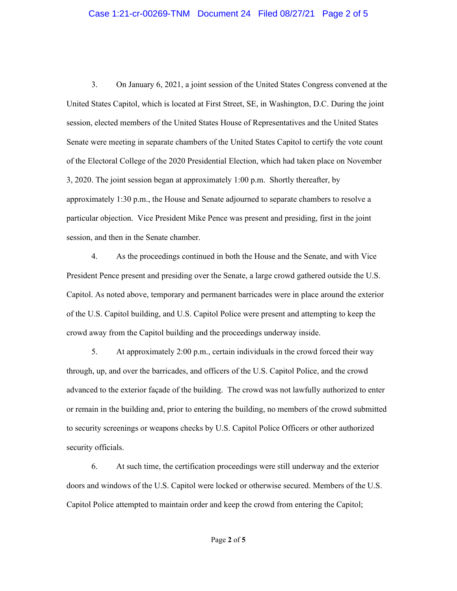## Case 1:21-cr-00269-TNM Document 24 Filed 08/27/21 Page 2 of 5

3. On January 6, 2021, a joint session of the United States Congress convened at the United States Capitol, which is located at First Street, SE, in Washington, D.C. During the joint session, elected members of the United States House of Representatives and the United States Senate were meeting in separate chambers of the United States Capitol to certify the vote count of the Electoral College of the 2020 Presidential Election, which had taken place on November 3, 2020. The joint session began at approximately 1:00 p.m. Shortly thereafter, by approximately 1:30 p.m., the House and Senate adjourned to separate chambers to resolve a particular objection. Vice President Mike Pence was present and presiding, first in the joint session, and then in the Senate chamber.

4. As the proceedings continued in both the House and the Senate, and with Vice President Pence present and presiding over the Senate, a large crowd gathered outside the U.S. Capitol. As noted above, temporary and permanent barricades were in place around the exterior of the U.S. Capitol building, and U.S. Capitol Police were present and attempting to keep the crowd away from the Capitol building and the proceedings underway inside.

5. At approximately 2:00 p.m., certain individuals in the crowd forced their way through, up, and over the barricades, and officers of the U.S. Capitol Police, and the crowd advanced to the exterior façade of the building. The crowd was not lawfully authorized to enter or remain in the building and, prior to entering the building, no members of the crowd submitted to security screenings or weapons checks by U.S. Capitol Police Officers or other authorized security officials.

6. At such time, the certification proceedings were still underway and the exterior doors and windows of the U.S. Capitol were locked or otherwise secured. Members of the U.S. Capitol Police attempted to maintain order and keep the crowd from entering the Capitol;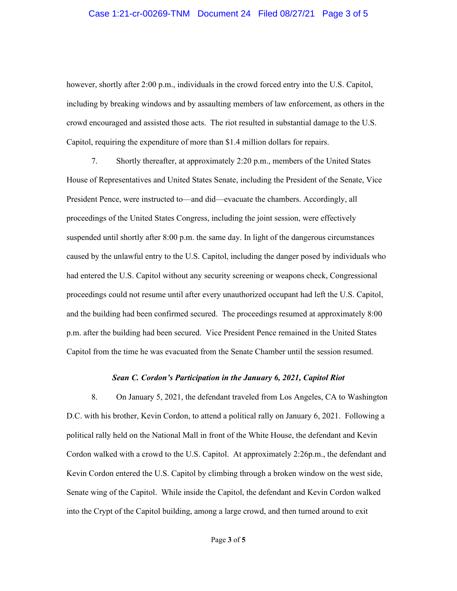## Case 1:21-cr-00269-TNM Document 24 Filed 08/27/21 Page 3 of 5

however, shortly after 2:00 p.m., individuals in the crowd forced entry into the U.S. Capitol, including by breaking windows and by assaulting members of law enforcement, as others in the crowd encouraged and assisted those acts. The riot resulted in substantial damage to the U.S. Capitol, requiring the expenditure of more than \$1.4 million dollars for repairs.

7. Shortly thereafter, at approximately 2:20 p.m., members of the United States House of Representatives and United States Senate, including the President of the Senate, Vice President Pence, were instructed to—and did—evacuate the chambers. Accordingly, all proceedings of the United States Congress, including the joint session, were effectively suspended until shortly after 8:00 p.m. the same day. In light of the dangerous circumstances caused by the unlawful entry to the U.S. Capitol, including the danger posed by individuals who had entered the U.S. Capitol without any security screening or weapons check, Congressional proceedings could not resume until after every unauthorized occupant had left the U.S. Capitol, and the building had been confirmed secured. The proceedings resumed at approximately 8:00 p.m. after the building had been secured. Vice President Pence remained in the United States Capitol from the time he was evacuated from the Senate Chamber until the session resumed.

#### *Sean C. Cordon's Participation in the January 6, 2021, Capitol Riot*

8. On January 5, 2021, the defendant traveled from Los Angeles, CA to Washington D.C. with his brother, Kevin Cordon, to attend a political rally on January 6, 2021. Following a political rally held on the National Mall in front of the White House, the defendant and Kevin Cordon walked with a crowd to the U.S. Capitol. At approximately 2:26p.m., the defendant and Kevin Cordon entered the U.S. Capitol by climbing through a broken window on the west side, Senate wing of the Capitol. While inside the Capitol, the defendant and Kevin Cordon walked into the Crypt of the Capitol building, among a large crowd, and then turned around to exit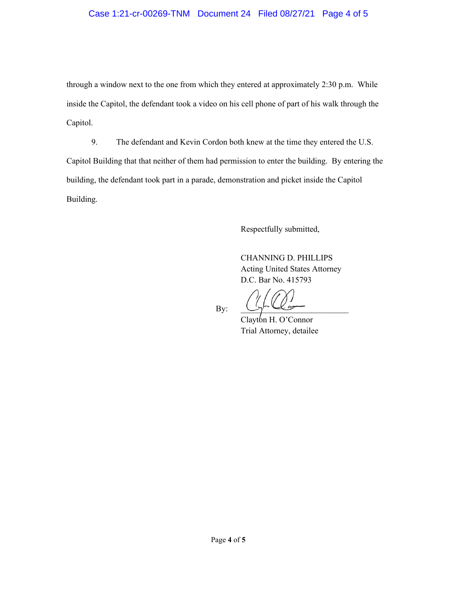# Case 1:21-cr-00269-TNM Document 24 Filed 08/27/21 Page 4 of 5

through a window next to the one from which they entered at approximately 2:30 p.m. While inside the Capitol, the defendant took a video on his cell phone of part of his walk through the Capitol.

9. The defendant and Kevin Cordon both knew at the time they entered the U.S. Capitol Building that that neither of them had permission to enter the building. By entering the building, the defendant took part in a parade, demonstration and picket inside the Capitol Building.

Respectfully submitted,

CHANNING D. PHILLIPS Acting United States Attorney D.C. Bar No. 415793

 $By: \qquad \bigcup_{\gamma} \vdash \bigcup_{\gamma} \qquad \qquad \qquad \qquad$ 

Clayton H. O'Connor Trial Attorney, detailee